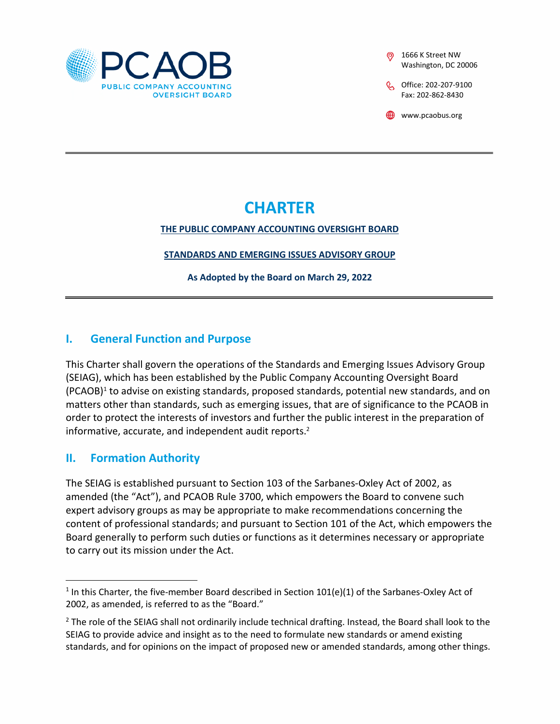

1666 K Street NW Washington, DC 20006

C Office: 202-207-9100 Fax: 202-862-8430

www.pcaobus.org

# **CHARTER**

#### **THE PUBLIC COMPANY ACCOUNTING OVERSIGHT BOARD**

**STANDARDS AND EMERGING ISSUES ADVISORY GROUP** 

**As Adopted by the Board on March 29, 2022** 

### **I. General Function and Purpose**

This Charter shall govern the operations of the Standards and Emerging Issues Advisory Group (SEIAG), which has been established by the Public Company Accounting Oversight Board (PCAOB)<sup>[1](#page-0-0)</sup> to advise on existing standards, proposed standards, potential new standards, and on matters other than standards, such as emerging issues, that are of significance to the PCAOB in order to protect the interests of investors and further the public interest in the preparation of informative, accurate, and independent audit reports.[2](#page-0-1)

# **II. Formation Authority**

The SEIAG is established pursuant to Section 103 of the Sarbanes-Oxley Act of 2002, as amended (the "Act"), and PCAOB Rule 3700, which empowers the Board to convene such expert advisory groups as may be appropriate to make recommendations concerning the content of professional standards; and pursuant to Section 101 of the Act, which empowers the Board generally to perform such duties or functions as it determines necessary or appropriate to carry out its mission under the Act.

<span id="page-0-0"></span> $<sup>1</sup>$  In this Charter, the five-member Board described in Section 101(e)(1) of the Sarbanes-Oxley Act of</sup> 2002, as amended, is referred to as the "Board."

<span id="page-0-1"></span><sup>&</sup>lt;sup>2</sup> The role of the SEIAG shall not ordinarily include technical drafting. Instead, the Board shall look to the SEIAG to provide advice and insight as to the need to formulate new standards or amend existing standards, and for opinions on the impact of proposed new or amended standards, among other things.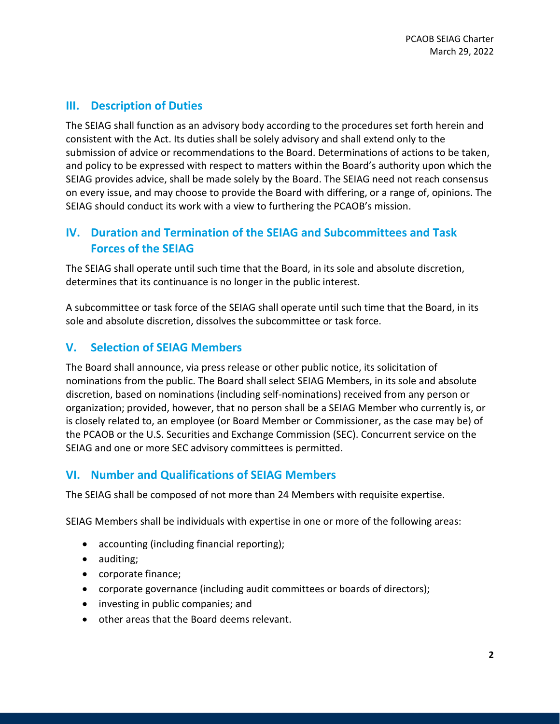## **III. Description of Duties**

The SEIAG shall function as an advisory body according to the procedures set forth herein and consistent with the Act. Its duties shall be solely advisory and shall extend only to the submission of advice or recommendations to the Board. Determinations of actions to be taken, and policy to be expressed with respect to matters within the Board's authority upon which the SEIAG provides advice, shall be made solely by the Board. The SEIAG need not reach consensus on every issue, and may choose to provide the Board with differing, or a range of, opinions. The SEIAG should conduct its work with a view to furthering the PCAOB's mission.

# **IV. Duration and Termination of the SEIAG and Subcommittees and Task Forces of the SEIAG**

The SEIAG shall operate until such time that the Board, in its sole and absolute discretion, determines that its continuance is no longer in the public interest.

A subcommittee or task force of the SEIAG shall operate until such time that the Board, in its sole and absolute discretion, dissolves the subcommittee or task force.

# **V. Selection of SEIAG Members**

The Board shall announce, via press release or other public notice, its solicitation of nominations from the public. The Board shall select SEIAG Members, in its sole and absolute discretion, based on nominations (including self-nominations) received from any person or organization; provided, however, that no person shall be a SEIAG Member who currently is, or is closely related to, an employee (or Board Member or Commissioner, as the case may be) of the PCAOB or the U.S. Securities and Exchange Commission (SEC). Concurrent service on the SEIAG and one or more SEC advisory committees is permitted.

# **VI. Number and Qualifications of SEIAG Members**

The SEIAG shall be composed of not more than 24 Members with requisite expertise.

SEIAG Members shall be individuals with expertise in one or more of the following areas:

- accounting (including financial reporting);
- auditing;
- corporate finance;
- corporate governance (including audit committees or boards of directors);
- investing in public companies; and
- other areas that the Board deems relevant.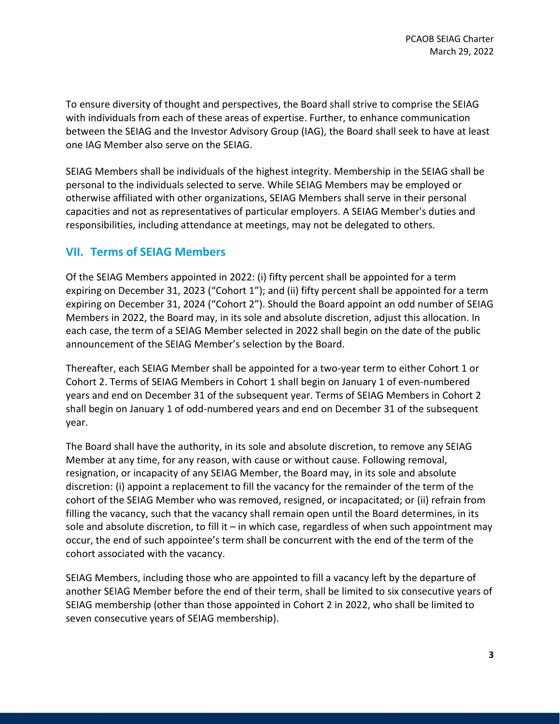To ensure diversity of thought and perspectives, the Board shall strive to comprise the SEIAG with individuals from each of these areas of expertise. Further, to enhance communication between the SEIAG and the Investor Advisory Group (IAG), the Board shall seek to have at least one IAG Member also serve on the SEIAG.

SEIAG Members shall be individuals of the highest integrity. Membership in the SEIAG shall be personal to the individuals selected to serve. While SEIAG Members may be employed or otherwise affiliated with other organizations, SEIAG Members shall serve in their personal capacities and not as representatives of particular employers. A SEIAG Member's duties and responsibilities, including attendance at meetings, may not be delegated to others.

#### **VII. Terms of SEIAG Members**

Of the SEIAG Members appointed in 2022: (i) fifty percent shall be appointed for a term expiring on December 31, 2023 ("Cohort 1"); and (ii) fifty percent shall be appointed for a term expiring on December 31, 2024 ("Cohort 2"). Should the Board appoint an odd number of SEIAG Members in 2022, the Board may, in its sole and absolute discretion, adjust this allocation. In each case, the term of a SEIAG Member selected in 2022 shall begin on the date of the public announcement of the SEIAG Member's selection by the Board.

Thereafter, each SEIAG Member shall be appointed for a two-year term to either Cohort 1 or Cohort 2. Terms of SEIAG Members in Cohort 1 shall begin on January 1 of even-numbered years and end on December 31 of the subsequent year. Terms of SEIAG Members in Cohort 2 shall begin on January 1 of odd-numbered years and end on December 31 of the subsequent year.

The Board shall have the authority, in its sole and absolute discretion, to remove any SEIAG Member at any time, for any reason, with cause or without cause. Following removal, resignation, or incapacity of any SEIAG Member, the Board may, in its sole and absolute discretion: (i) appoint a replacement to fill the vacancy for the remainder of the term of the cohort of the SEIAG Member who was removed, resigned, or incapacitated; or (ii) refrain from filling the vacancy, such that the vacancy shall remain open until the Board determines, in its sole and absolute discretion, to fill it – in which case, regardless of when such appointment may occur, the end of such appointee's term shall be concurrent with the end of the term of the cohort associated with the vacancy.

SEIAG Members, including those who are appointed to fill a vacancy left by the departure of another SEIAG Member before the end of their term, shall be limited to six consecutive years of SEIAG membership (other than those appointed in Cohort 2 in 2022, who shall be limited to seven consecutive years of SEIAG membership).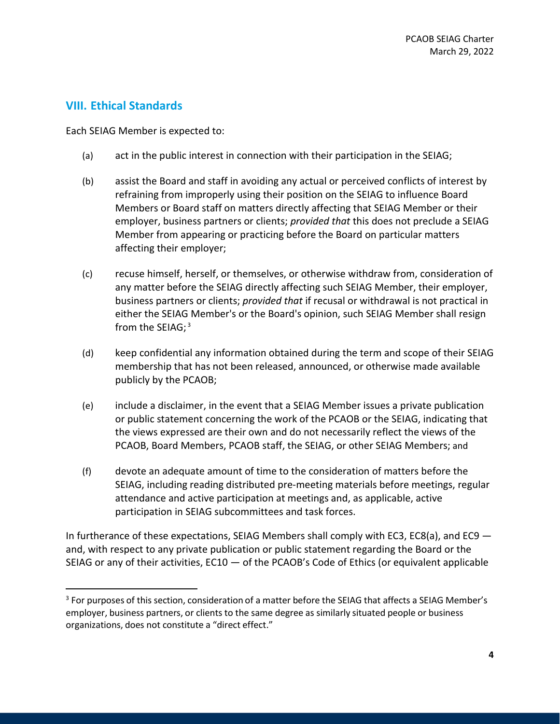#### **VIII. Ethical Standards**

Each SEIAG Member is expected to:

- (a) act in the public interest in connection with their participation in the SEIAG;
- (b) assist the Board and staff in avoiding any actual or perceived conflicts of interest by refraining from improperly using their position on the SEIAG to influence Board Members or Board staff on matters directly affecting that SEIAG Member or their employer, business partners or clients; *provided that* this does not preclude a SEIAG Member from appearing or practicing before the Board on particular matters affecting their employer;
- (c) recuse himself, herself, or themselves, or otherwise withdraw from, consideration of any matter before the SEIAG directly affecting such SEIAG Member, their employer, business partners or clients; *provided that* if recusal or withdrawal is not practical in [either the SEIAG Member's or the Board's opinion, such SEIAG Member shall resign](#page-3-0)  from the SEIAG;<sup>3</sup>
- (d) keep confidential any information obtained during the term and scope of their SEIAG membership that has not been released, announced, or otherwise made available publicly by the PCAOB;
- (e) include a disclaimer, in the event that a SEIAG Member issues a private publication or public statement concerning the work of the PCAOB or the SEIAG, indicating that the views expressed are their own and do not necessarily reflect the views of the PCAOB, Board Members, PCAOB staff, the SEIAG, or other SEIAG Members; and
- (f) devote an adequate amount of time to the consideration of matters before the SEIAG, including reading distributed pre-meeting materials before meetings, regular attendance and active participation at meetings and, as applicable, active participation in SEIAG subcommittees and task forces.

In furtherance of these expectations, SEIAG Members shall comply with EC3, EC8(a), and EC9 and, with respect to any private publication or public statement regarding the Board or the SEIAG or any of their activities, EC10 — of the PCAOB's Code of Ethics (or equivalent applicable

<span id="page-3-0"></span><sup>&</sup>lt;sup>3</sup> For purposes of this section, consideration of a matter before the SEIAG that affects a SEIAG Member's employer, business partners, or clients to the same degree as similarly situated people or business organizations, does not constitute a "direct effect."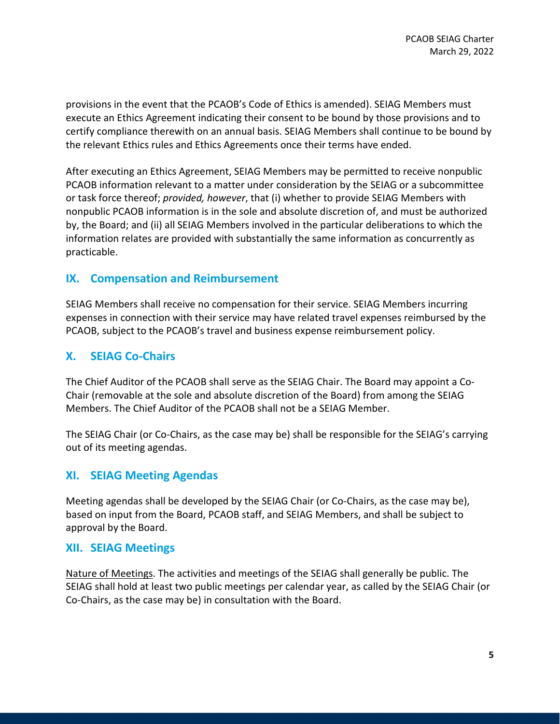provisions in the event that the PCAOB's Code of Ethics is amended). SEIAG Members must execute an Ethics Agreement indicating their consent to be bound by those provisions and to certify compliance therewith on an annual basis. SEIAG Members shall continue to be bound by the relevant Ethics rules and Ethics Agreements once their terms have ended.

After executing an Ethics Agreement, SEIAG Members may be permitted to receive nonpublic PCAOB information relevant to a matter under consideration by the SEIAG or a subcommittee or task force thereof; *provided, however*, that (i) whether to provide SEIAG Members with nonpublic PCAOB information is in the sole and absolute discretion of, and must be authorized by, the Board; and (ii) all SEIAG Members involved in the particular deliberations to which the information relates are provided with substantially the same information as concurrently as practicable.

#### **IX. Compensation and Reimbursement**

SEIAG Members shall receive no compensation for their service. SEIAG Members incurring expenses in connection with their service may have related travel expenses reimbursed by the PCAOB, subject to the PCAOB's travel and business expense reimbursement policy.

#### **X. SEIAG Co-Chairs**

The Chief Auditor of the PCAOB shall serve as the SEIAG Chair. The Board may appoint a Co-Chair (removable at the sole and absolute discretion of the Board) from among the SEIAG Members. The Chief Auditor of the PCAOB shall not be a SEIAG Member.

The SEIAG Chair (or Co-Chairs, as the case may be) shall be responsible for the SEIAG's carrying out of its meeting agendas.

#### **XI. SEIAG Meeting Agendas**

Meeting agendas shall be developed by the SEIAG Chair (or Co-Chairs, as the case may be), based on input from the Board, PCAOB staff, and SEIAG Members, and shall be subject to approval by the Board.

#### **XII. SEIAG Meetings**

Nature of Meetings. The activities and meetings of the SEIAG shall generally be public. The SEIAG shall hold at least two public meetings per calendar year, as called by the SEIAG Chair (or Co-Chairs, as the case may be) in consultation with the Board.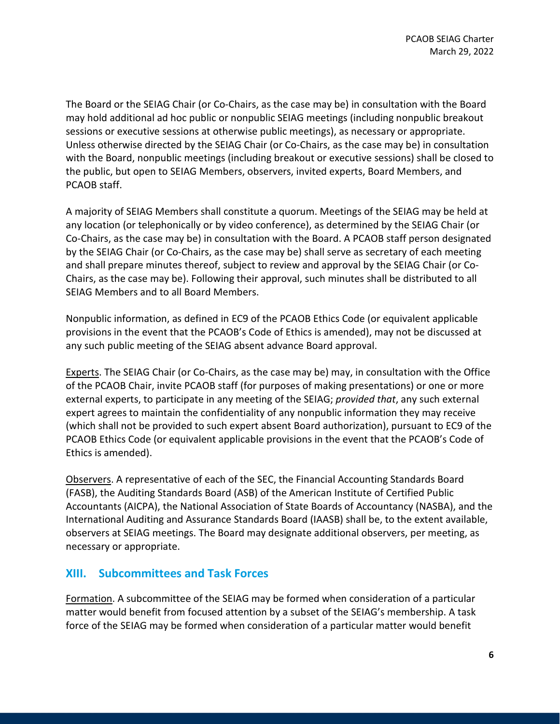The Board or the SEIAG Chair (or Co-Chairs, as the case may be) in consultation with the Board may hold additional ad hoc public or nonpublic SEIAG meetings (including nonpublic breakout sessions or executive sessions at otherwise public meetings), as necessary or appropriate. Unless otherwise directed by the SEIAG Chair (or Co-Chairs, as the case may be) in consultation with the Board, nonpublic meetings (including breakout or executive sessions) shall be closed to the public, but open to SEIAG Members, observers, invited experts, Board Members, and PCAOB staff.

A majority of SEIAG Members shall constitute a quorum. Meetings of the SEIAG may be held at any location (or telephonically or by video conference), as determined by the SEIAG Chair (or Co-Chairs, as the case may be) in consultation with the Board. A PCAOB staff person designated by the SEIAG Chair (or Co-Chairs, as the case may be) shall serve as secretary of each meeting and shall prepare minutes thereof, subject to review and approval by the SEIAG Chair (or Co-Chairs, as the case may be). Following their approval, such minutes shall be distributed to all SEIAG Members and to all Board Members.

Nonpublic information, as defined in EC9 of the PCAOB Ethics Code (or equivalent applicable provisions in the event that the PCAOB's Code of Ethics is amended), may not be discussed at any such public meeting of the SEIAG absent advance Board approval.

Experts. The SEIAG Chair (or Co-Chairs, as the case may be) may, in consultation with the Office of the PCAOB Chair, invite PCAOB staff (for purposes of making presentations) or one or more external experts, to participate in any meeting of the SEIAG; *provided that*, any such external expert agrees to maintain the confidentiality of any nonpublic information they may receive (which shall not be provided to such expert absent Board authorization), pursuant to EC9 of the PCAOB Ethics Code (or equivalent applicable provisions in the event that the PCAOB's Code of Ethics is amended).

Observers. A representative of each of the SEC, the Financial Accounting Standards Board (FASB), the Auditing Standards Board (ASB) of the American Institute of Certified Public Accountants (AICPA), the National Association of State Boards of Accountancy (NASBA), and the International Auditing and Assurance Standards Board (IAASB) shall be, to the extent available, observers at SEIAG meetings. The Board may designate additional observers, per meeting, as necessary or appropriate.

### **XIII. Subcommittees and Task Forces**

Formation. A subcommittee of the SEIAG may be formed when consideration of a particular matter would benefit from focused attention by a subset of the SEIAG's membership. A task force of the SEIAG may be formed when consideration of a particular matter would benefit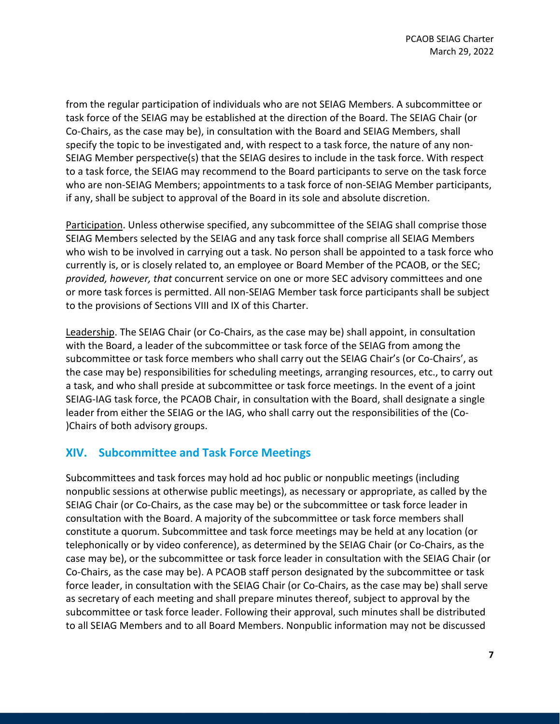from the regular participation of individuals who are not SEIAG Members. A subcommittee or task force of the SEIAG may be established at the direction of the Board. The SEIAG Chair (or Co-Chairs, as the case may be), in consultation with the Board and SEIAG Members, shall specify the topic to be investigated and, with respect to a task force, the nature of any non-SEIAG Member perspective(s) that the SEIAG desires to include in the task force. With respect to a task force, the SEIAG may recommend to the Board participants to serve on the task force who are non-SEIAG Members; appointments to a task force of non-SEIAG Member participants, if any, shall be subject to approval of the Board in its sole and absolute discretion.

Participation. Unless otherwise specified, any subcommittee of the SEIAG shall comprise those SEIAG Members selected by the SEIAG and any task force shall comprise all SEIAG Members who wish to be involved in carrying out a task. No person shall be appointed to a task force who currently is, or is closely related to, an employee or Board Member of the PCAOB, or the SEC; *provided, however, that* concurrent service on one or more SEC advisory committees and one or more task forces is permitted. All non-SEIAG Member task force participants shall be subject to the provisions of Sections VIII and IX of this Charter.

Leadership. The SEIAG Chair (or Co-Chairs, as the case may be) shall appoint, in consultation with the Board, a leader of the subcommittee or task force of the SEIAG from among the subcommittee or task force members who shall carry out the SEIAG Chair's (or Co-Chairs', as the case may be) responsibilities for scheduling meetings, arranging resources, etc., to carry out a task, and who shall preside at subcommittee or task force meetings. In the event of a joint SEIAG-IAG task force, the PCAOB Chair, in consultation with the Board, shall designate a single leader from either the SEIAG or the IAG, who shall carry out the responsibilities of the (Co- )Chairs of both advisory groups.

### **XIV. Subcommittee and Task Force Meetings**

Subcommittees and task forces may hold ad hoc public or nonpublic meetings (including nonpublic sessions at otherwise public meetings), as necessary or appropriate, as called by the SEIAG Chair (or Co-Chairs, as the case may be) or the subcommittee or task force leader in consultation with the Board. A majority of the subcommittee or task force members shall constitute a quorum. Subcommittee and task force meetings may be held at any location (or telephonically or by video conference), as determined by the SEIAG Chair (or Co-Chairs, as the case may be), or the subcommittee or task force leader in consultation with the SEIAG Chair (or Co-Chairs, as the case may be). A PCAOB staff person designated by the subcommittee or task force leader, in consultation with the SEIAG Chair (or Co-Chairs, as the case may be) shall serve as secretary of each meeting and shall prepare minutes thereof, subject to approval by the subcommittee or task force leader. Following their approval, such minutes shall be distributed to all SEIAG Members and to all Board Members. Nonpublic information may not be discussed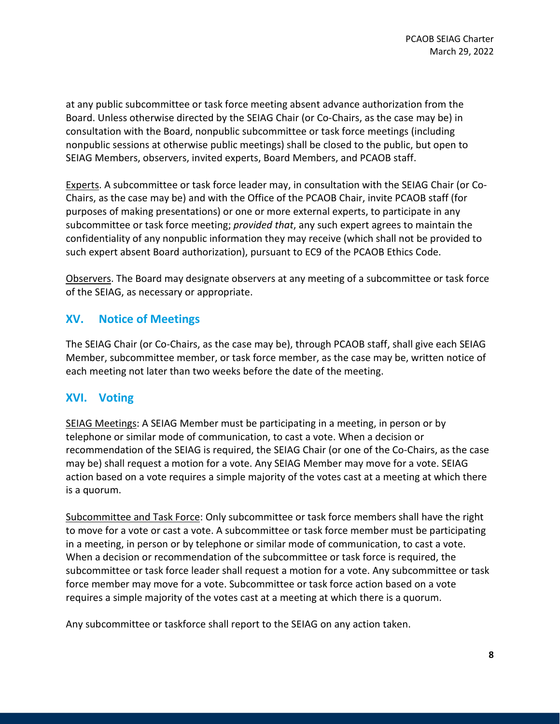at any public subcommittee or task force meeting absent advance authorization from the Board. Unless otherwise directed by the SEIAG Chair (or Co-Chairs, as the case may be) in consultation with the Board, nonpublic subcommittee or task force meetings (including nonpublic sessions at otherwise public meetings) shall be closed to the public, but open to SEIAG Members, observers, invited experts, Board Members, and PCAOB staff.

Experts. A subcommittee or task force leader may, in consultation with the SEIAG Chair (or Co-Chairs, as the case may be) and with the Office of the PCAOB Chair, invite PCAOB staff (for purposes of making presentations) or one or more external experts, to participate in any subcommittee or task force meeting; *provided that*, any such expert agrees to maintain the confidentiality of any nonpublic information they may receive (which shall not be provided to such expert absent Board authorization), pursuant to EC9 of the PCAOB Ethics Code.

Observers. The Board may designate observers at any meeting of a subcommittee or task force of the SEIAG, as necessary or appropriate.

### **XV. Notice of Meetings**

The SEIAG Chair (or Co-Chairs, as the case may be), through PCAOB staff, shall give each SEIAG Member, subcommittee member, or task force member, as the case may be, written notice of each meeting not later than two weeks before the date of the meeting.

### **XVI. Voting**

SEIAG Meetings: A SEIAG Member must be participating in a meeting, in person or by telephone or similar mode of communication, to cast a vote. When a decision or recommendation of the SEIAG is required, the SEIAG Chair (or one of the Co-Chairs, as the case may be) shall request a motion for a vote. Any SEIAG Member may move for a vote. SEIAG action based on a vote requires a simple majority of the votes cast at a meeting at which there is a quorum.

Subcommittee and Task Force: Only subcommittee or task force members shall have the right to move for a vote or cast a vote. A subcommittee or task force member must be participating in a meeting, in person or by telephone or similar mode of communication, to cast a vote. When a decision or recommendation of the subcommittee or task force is required, the subcommittee or task force leader shall request a motion for a vote. Any subcommittee or task force member may move for a vote. Subcommittee or task force action based on a vote requires a simple majority of the votes cast at a meeting at which there is a quorum.

Any subcommittee or taskforce shall report to the SEIAG on any action taken.